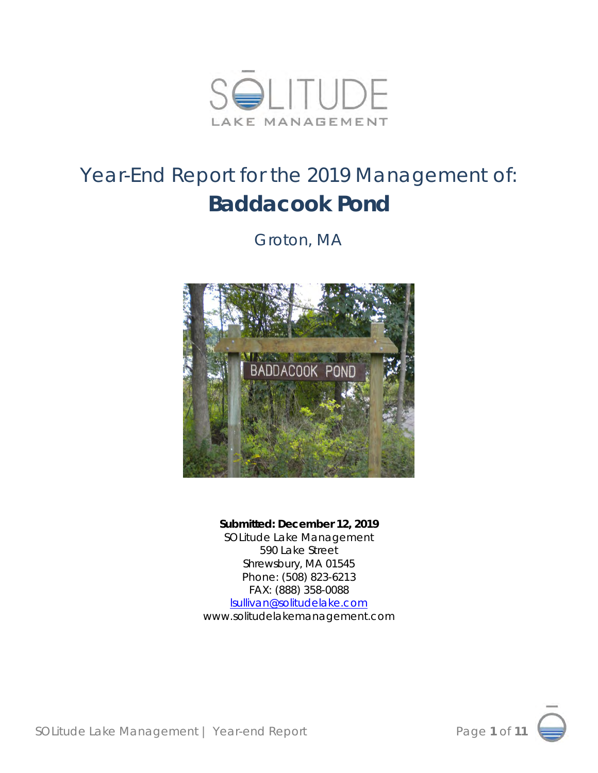

# Year-End Report for the 2019 Management of: **Baddacook Pond**

*Groton, MA*



**Submitted: December 12, 2019** SOLitude Lake Management 590 Lake Street Shrewsbury, MA 01545 Phone: (508) 823-6213 FAX: (888) 358-0088 [lsullivan@solitudelake.com](mailto:lsullivan@solitudelake.com) www.solitudelakemanagement.com

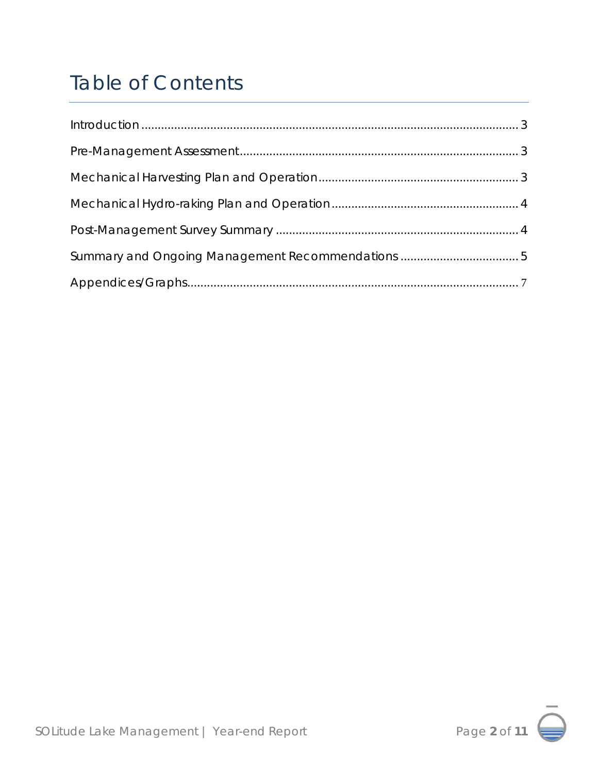# Table of Contents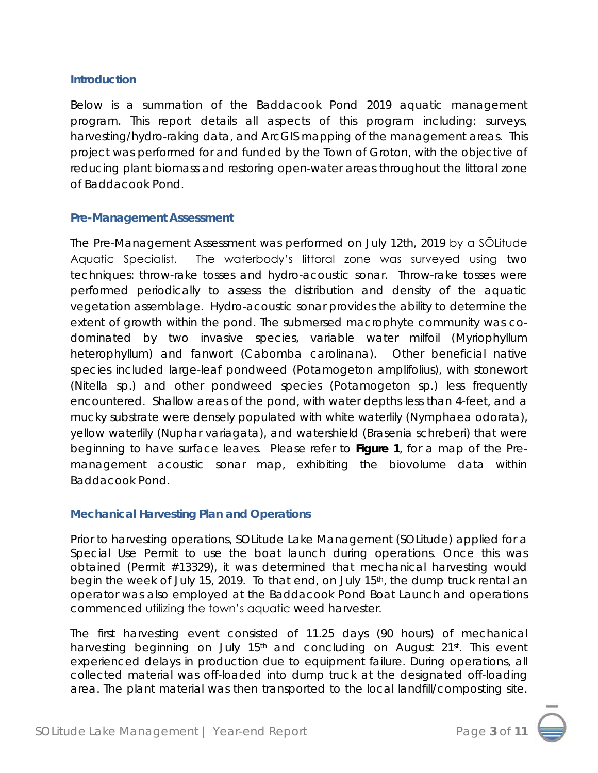#### **Introduction**

Below is a summation of the Baddacook Pond 2019 aquatic management program. This report details all aspects of this program including: surveys, harvesting/hydro-raking data, and ArcGIS mapping of the management areas. This project was performed for and funded by the Town of Groton, with the objective of reducing plant biomass and restoring open-water areas throughout the littoral zone of Baddacook Pond.

#### **Pre-Management Assessment**

The Pre-Management Assessment was performed on July 12th, 2019 by a SŌLitude Aquatic Specialist. The waterbody's littoral zone was surveyed using two techniques: throw-rake tosses and hydro-acoustic sonar. Throw-rake tosses were performed periodically to assess the distribution and density of the aquatic vegetation assemblage. Hydro-acoustic sonar provides the ability to determine the extent of growth within the pond. The submersed macrophyte community was codominated by two invasive species, variable water milfoil (*Myriophyllum heterophyllum*) and fanwort (*Cabomba carolinana*). Other beneficial native species included large-leaf pondweed (*Potamogeton amplifolius*), with stonewort (*Nitella sp.*) and other pondweed species (*Potamogeton sp.*) less frequently encountered. Shallow areas of the pond, with water depths less than 4-feet, and a mucky substrate were densely populated with white waterlily (*Nymphaea odorata*), yellow waterlily (*Nuphar variagata*), and watershield (*Brasenia schreberi*) that were beginning to have surface leaves. Please refer to **Figure 1**, for a map of the Premanagement acoustic sonar map, exhibiting the biovolume data within Baddacook Pond.

#### **Mechanical Harvesting Plan and Operations**

Prior to harvesting operations, SOLitude Lake Management (SOLitude) applied for a Special Use Permit to use the boat launch during operations. Once this was obtained (Permit #13329), it was determined that mechanical harvesting would begin the week of July 15, 2019. To that end, on July 15th, the dump truck rental an operator was also employed at the Baddacook Pond Boat Launch and operations commenced utilizing the town's aquatic weed harvester.

The first harvesting event consisted of 11.25 days (90 hours) of mechanical harvesting beginning on July 15<sup>th</sup> and concluding on August 21<sup>st</sup>. This event experienced delays in production due to equipment failure. During operations, all collected material was off-loaded into dump truck at the designated off-loading area. The plant material was then transported to the local landfill/composting site.



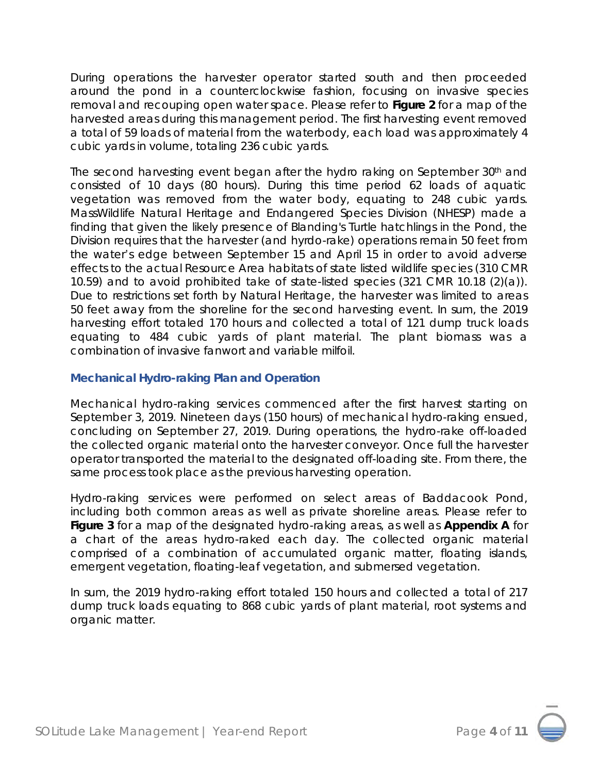During operations the harvester operator started south and then proceeded around the pond in a counterclockwise fashion, focusing on invasive species removal and recouping open water space. Please refer to **Figure 2** for a map of the harvested areas during this management period. The first harvesting event removed a total of 59 loads of material from the waterbody, each load was approximately 4 cubic yards in volume, totaling 236 cubic yards.

The second harvesting event began after the hydro raking on September 30th and consisted of 10 days (80 hours). During this time period 62 loads of aquatic vegetation was removed from the water body, equating to 248 cubic yards. MassWildlife Natural Heritage and Endangered Species Division (NHESP) made a finding that given the likely presence of Blanding's Turtle hatchlings in the Pond, the Division requires that the harvester (and hyrdo-rake) operations remain 50 feet from the water's edge between September 15 and April 15 in order to avoid adverse effects to the actual Resource Area habitats of state listed wildlife species (310 CMR 10.59) and to avoid prohibited take of state-listed species (321 CMR 10.18 (2)(a)). Due to restrictions set forth by Natural Heritage, the harvester was limited to areas 50 feet away from the shoreline for the second harvesting event. In sum, the 2019 harvesting effort totaled 170 hours and collected a total of 121 dump truck loads equating to 484 cubic yards of plant material. The plant biomass was a combination of invasive fanwort and variable milfoil.

#### **Mechanical Hydro-raking Plan and Operation**

Mechanical hydro-raking services commenced after the first harvest starting on September 3, 2019. Nineteen days (150 hours) of mechanical hydro-raking ensued, concluding on September 27, 2019. During operations, the hydro-rake off-loaded the collected organic material onto the harvester conveyor. Once full the harvester operator transported the material to the designated off-loading site. From there, the same process took place as the previous harvesting operation.

Hydro-raking services were performed on select areas of Baddacook Pond, including both common areas as well as private shoreline areas. Please refer to **Figure 3** for a map of the designated hydro-raking areas, as well as **Appendix A** for a chart of the areas hydro-raked each day. The collected organic material comprised of a combination of accumulated organic matter, floating islands, emergent vegetation, floating-leaf vegetation, and submersed vegetation.

In sum, the 2019 hydro-raking effort totaled 150 hours and collected a total of 217 dump truck loads equating to 868 cubic yards of plant material, root systems and organic matter.

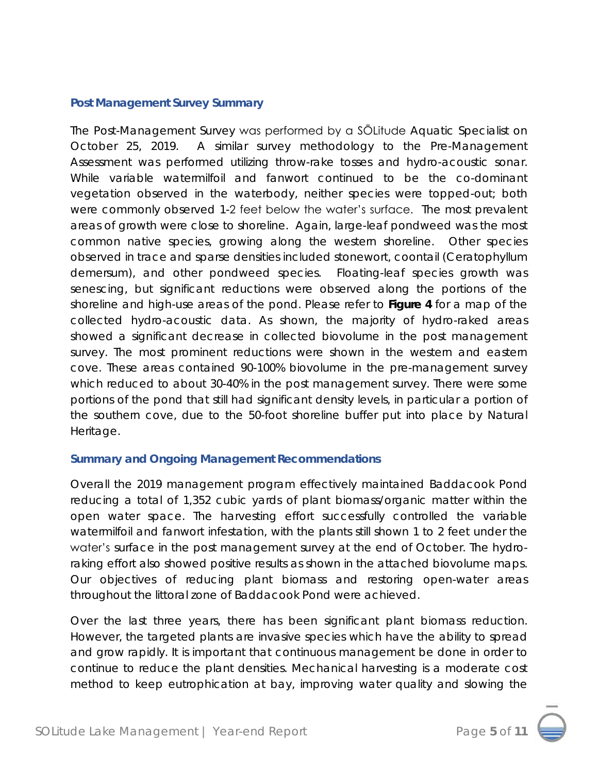#### **Post Management Survey Summary**

The Post-Management Survey was performed by a SŌLitude Aquatic Specialist on October 25, 2019. A similar survey methodology to the Pre-Management Assessment was performed utilizing throw-rake tosses and hydro-acoustic sonar. While variable watermilfoil and fanwort continued to be the co-dominant vegetation observed in the waterbody, neither species were topped-out; both were commonly observed 1-2 feet below the water's surface. The most prevalent areas of growth were close to shoreline. Again, large-leaf pondweed was the most common native species, growing along the western shoreline. Other species observed in trace and sparse densities included stonewort, coontail (*Ceratophyllum demersum*), and other pondweed species. Floating-leaf species growth was senescing, but significant reductions were observed along the portions of the shoreline and high-use areas of the pond. Please refer to **Figure 4** for a map of the collected hydro-acoustic data. As shown, the majority of hydro-raked areas showed a significant decrease in collected biovolume in the post management survey. The most prominent reductions were shown in the western and eastern cove. These areas contained 90-100% biovolume in the pre-management survey which reduced to about 30-40% in the post management survey. There were some portions of the pond that still had significant density levels, in particular a portion of the southern cove, due to the 50-foot shoreline buffer put into place by Natural Heritage.

#### **Summary and Ongoing Management Recommendations**

Overall the 2019 management program effectively maintained Baddacook Pond reducing a total of 1,352 cubic yards of plant biomass/organic matter within the open water space. The harvesting effort successfully controlled the variable watermilfoil and fanwort infestation, with the plants still shown 1 to 2 feet under the water's surface in the post management survey at the end of October. The hydroraking effort also showed positive results as shown in the attached biovolume maps. Our objectives of reducing plant biomass and restoring open-water areas throughout the littoral zone of Baddacook Pond were achieved.

Over the last three years, there has been significant plant biomass reduction. However, the targeted plants are invasive species which have the ability to spread and grow rapidly. It is important that continuous management be done in order to continue to reduce the plant densities. Mechanical harvesting is a moderate cost method to keep eutrophication at bay, improving water quality and slowing the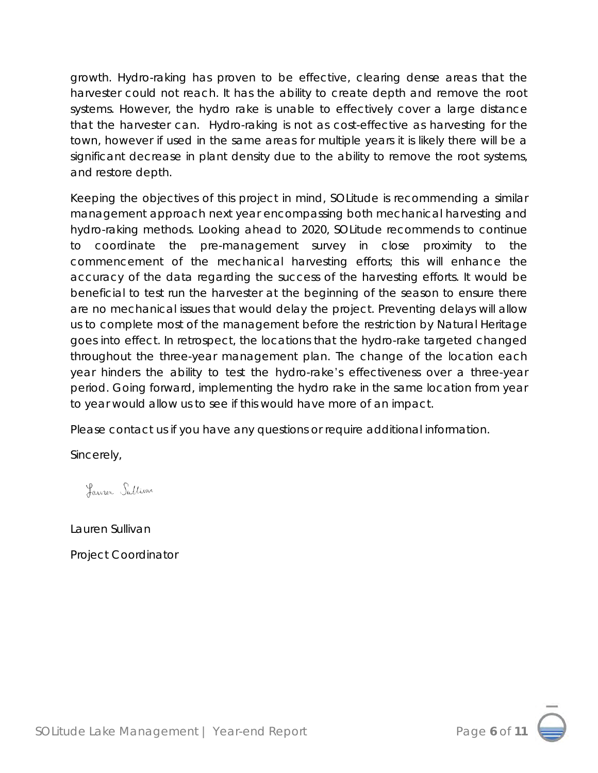growth. Hydro-raking has proven to be effective, clearing dense areas that the harvester could not reach. It has the ability to create depth and remove the root systems. However, the hydro rake is unable to effectively cover a large distance that the harvester can. Hydro-raking is not as cost-effective as harvesting for the town, however if used in the same areas for multiple years it is likely there will be a significant decrease in plant density due to the ability to remove the root systems, and restore depth.

Keeping the objectives of this project in mind, SOLitude is recommending a similar management approach next year encompassing both mechanical harvesting and hydro-raking methods. Looking ahead to 2020, SOLitude recommends to continue to coordinate the pre-management survey in close proximity to the commencement of the mechanical harvesting efforts; this will enhance the accuracy of the data regarding the success of the harvesting efforts. It would be beneficial to test run the harvester at the beginning of the season to ensure there are no mechanical issues that would delay the project. Preventing delays will allow us to complete most of the management before the restriction by Natural Heritage goes into effect. In retrospect, the locations that the hydro-rake targeted changed throughout the three-year management plan. The change of the location each year hinders the ability to test the hydro-rake's effectiveness over a three-year period. Going forward, implementing the hydro rake in the same location from year to year would allow us to see if this would have more of an impact.

Please contact us if you have any questions or require additional information.

Sincerely,

Lauren Sullivan

Lauren Sullivan

Project Coordinator

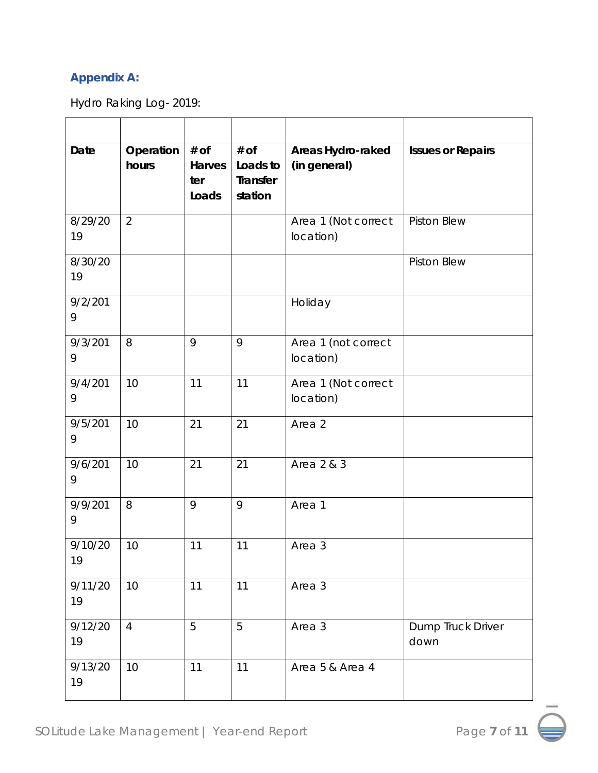### **Appendix A:**

Hydro Raking Log- 2019:

| Date          | Operation<br>hours | $#$ of<br>Harves<br>ter<br>Loads | $#$ Of<br>Loads to<br>Transfer<br>station | Areas Hydro-raked<br>(in general) | <b>Issues or Repairs</b>  |
|---------------|--------------------|----------------------------------|-------------------------------------------|-----------------------------------|---------------------------|
| 8/29/20<br>19 | $\overline{2}$     |                                  |                                           | Area 1 (Not correct<br>location)  | Piston Blew               |
| 8/30/20<br>19 |                    |                                  |                                           |                                   | Piston Blew               |
| 9/2/201<br>9  |                    |                                  |                                           | Holiday                           |                           |
| 9/3/201<br>9  | 8                  | 9                                | 9                                         | Area 1 (not correct<br>location)  |                           |
| 9/4/201<br>9  | 10                 | 11                               | 11                                        | Area 1 (Not correct<br>location)  |                           |
| 9/5/201<br>9  | 10                 | 21                               | 21                                        | Area 2                            |                           |
| 9/6/201<br>9  | 10                 | 21                               | 21                                        | Area 2 & 3                        |                           |
| 9/9/201<br>9  | 8                  | 9                                | 9                                         | Area 1                            |                           |
| 9/10/20<br>19 | 10                 | 11                               | 11                                        | Area 3                            |                           |
| 9/11/20<br>19 | 10                 | 11                               | 11                                        | Area 3                            |                           |
| 9/12/20<br>19 | $\overline{4}$     | 5                                | 5                                         | Area 3                            | Dump Truck Driver<br>down |
| 9/13/20<br>19 | 10                 | 11                               | 11                                        | Area 5 & Area 4                   |                           |

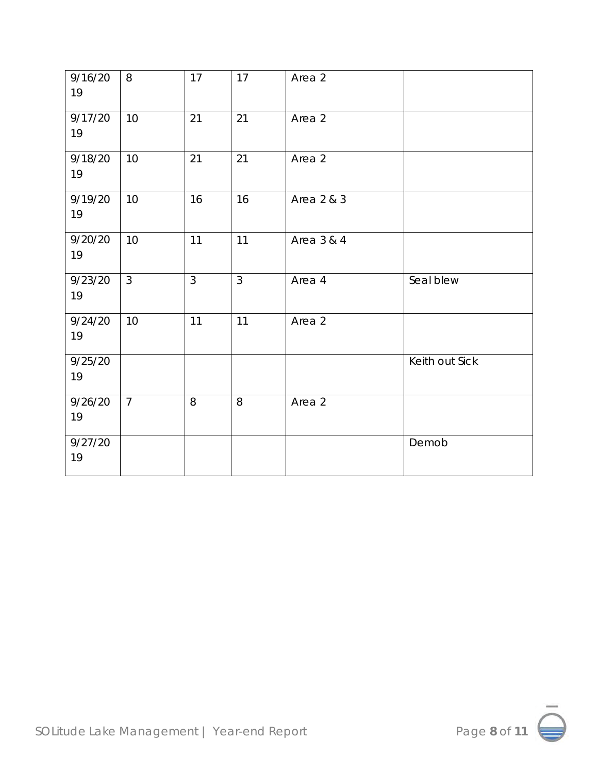| 9/16/20<br>19 | 8              | 17             | 17            | Area 2     |                |
|---------------|----------------|----------------|---------------|------------|----------------|
| 9/17/20<br>19 | 10             | 21             | 21            | Area 2     |                |
| 9/18/20<br>19 | 10             | 21             | 21            | Area 2     |                |
| 9/19/20<br>19 | 10             | 16             | 16            | Area 2 & 3 |                |
| 9/20/20<br>19 | 10             | 11             | 11            | Area 3 & 4 |                |
| 9/23/20<br>19 | 3              | $\mathfrak{Z}$ | $\mathcal{S}$ | Area 4     | Seal blew      |
| 9/24/20<br>19 | 10             | 11             | 11            | Area 2     |                |
| 9/25/20<br>19 |                |                |               |            | Keith out Sick |
| 9/26/20<br>19 | $\overline{7}$ | 8              | 8             | Area 2     |                |
| 9/27/20<br>19 |                |                |               |            | Demob          |

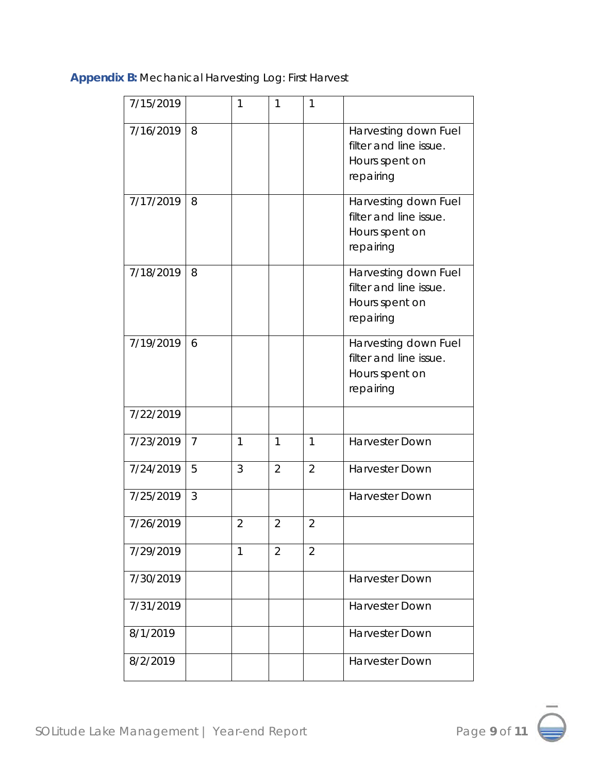**Appendix B:** Mechanical Harvesting Log: First Harvest

| 7/15/2019 |                | 1              | 1              | 1              |                                                                               |
|-----------|----------------|----------------|----------------|----------------|-------------------------------------------------------------------------------|
| 7/16/2019 | 8              |                |                |                | Harvesting down Fuel<br>filter and line issue.<br>Hours spent on<br>repairing |
| 7/17/2019 | 8              |                |                |                | Harvesting down Fuel<br>filter and line issue.<br>Hours spent on<br>repairing |
| 7/18/2019 | 8              |                |                |                | Harvesting down Fuel<br>filter and line issue.<br>Hours spent on<br>repairing |
| 7/19/2019 | 6              |                |                |                | Harvesting down Fuel<br>filter and line issue.<br>Hours spent on<br>repairing |
| 7/22/2019 |                |                |                |                |                                                                               |
| 7/23/2019 | $\overline{7}$ | $\mathbf{1}$   | $\mathbf{1}$   | $\mathbf{1}$   | <b>Harvester Down</b>                                                         |
| 7/24/2019 | 5              | 3              | $\overline{2}$ | $\overline{2}$ | <b>Harvester Down</b>                                                         |
| 7/25/2019 | 3              |                |                |                | Harvester Down                                                                |
| 7/26/2019 |                | $\overline{2}$ | $\overline{2}$ | $\overline{2}$ |                                                                               |
| 7/29/2019 |                | 1              | $\overline{2}$ | $\overline{2}$ |                                                                               |
| 7/30/2019 |                |                |                |                | <b>Harvester Down</b>                                                         |
| 7/31/2019 |                |                |                |                | <b>Harvester Down</b>                                                         |
| 8/1/2019  |                |                |                |                | <b>Harvester Down</b>                                                         |
| 8/2/2019  |                |                |                |                | <b>Harvester Down</b>                                                         |

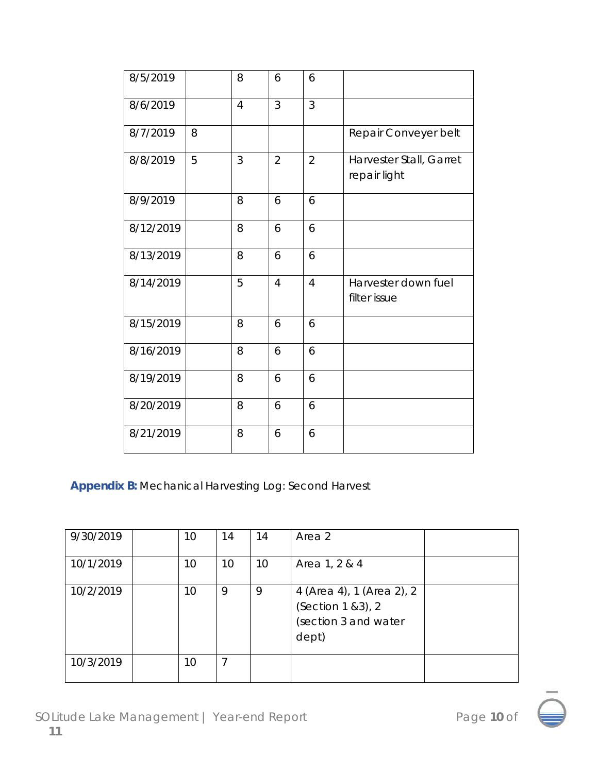| 8/5/2019  |   | 8              | 6              | 6              |                                         |
|-----------|---|----------------|----------------|----------------|-----------------------------------------|
| 8/6/2019  |   | $\overline{4}$ | 3              | 3              |                                         |
| 8/7/2019  | 8 |                |                |                | Repair Conveyer belt                    |
| 8/8/2019  | 5 | 3              | $\overline{2}$ | $\overline{2}$ | Harvester Stall, Garret<br>repair light |
| 8/9/2019  |   | 8              | 6              | 6              |                                         |
| 8/12/2019 |   | 8              | 6              | 6              |                                         |
| 8/13/2019 |   | 8              | 6              | 6              |                                         |
| 8/14/2019 |   | 5              | $\overline{4}$ | $\overline{4}$ | Harvester down fuel<br>filter issue     |
| 8/15/2019 |   | 8              | 6              | 6              |                                         |
| 8/16/2019 |   | 8              | 6              | 6              |                                         |
| 8/19/2019 |   | 8              | 6              | 6              |                                         |
| 8/20/2019 |   | 8              | 6              | 6              |                                         |
| 8/21/2019 |   | 8              | 6              | 6              |                                         |

**Appendix B:** Mechanical Harvesting Log: Second Harvest

| 9/30/2019 | 10 | 14 | 14 | Area 2                                                                           |  |
|-----------|----|----|----|----------------------------------------------------------------------------------|--|
| 10/1/2019 | 10 | 10 | 10 | Area 1, 2 & 4                                                                    |  |
| 10/2/2019 | 10 | 9  | 9  | 4 (Area 4), 1 (Area 2), 2<br>(Section 1 & 3), 2<br>(section 3 and water<br>dept) |  |
| 10/3/2019 | 10 | 7  |    |                                                                                  |  |

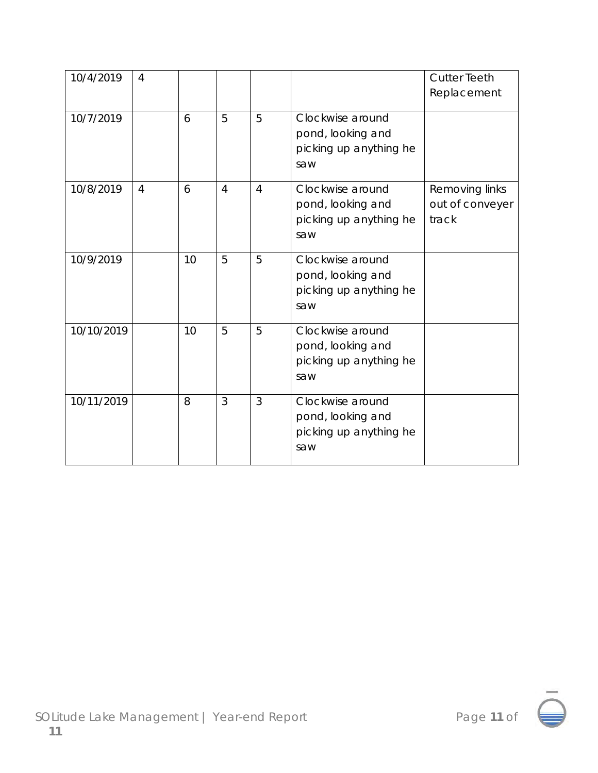| 10/4/2019  | $\overline{4}$ |    |                |                |                                                                        | <b>Cutter Teeth</b><br>Replacement         |
|------------|----------------|----|----------------|----------------|------------------------------------------------------------------------|--------------------------------------------|
| 10/7/2019  |                | 6  | 5              | 5              | Clockwise around<br>pond, looking and<br>picking up anything he<br>saw |                                            |
| 10/8/2019  | $\overline{4}$ | 6  | $\overline{4}$ | $\overline{4}$ | Clockwise around<br>pond, looking and<br>picking up anything he<br>saw | Removing links<br>out of conveyer<br>track |
| 10/9/2019  |                | 10 | 5              | 5              | Clockwise around<br>pond, looking and<br>picking up anything he<br>saw |                                            |
| 10/10/2019 |                | 10 | 5              | 5              | Clockwise around<br>pond, looking and<br>picking up anything he<br>saw |                                            |
| 10/11/2019 |                | 8  | 3              | 3              | Clockwise around<br>pond, looking and<br>picking up anything he<br>saw |                                            |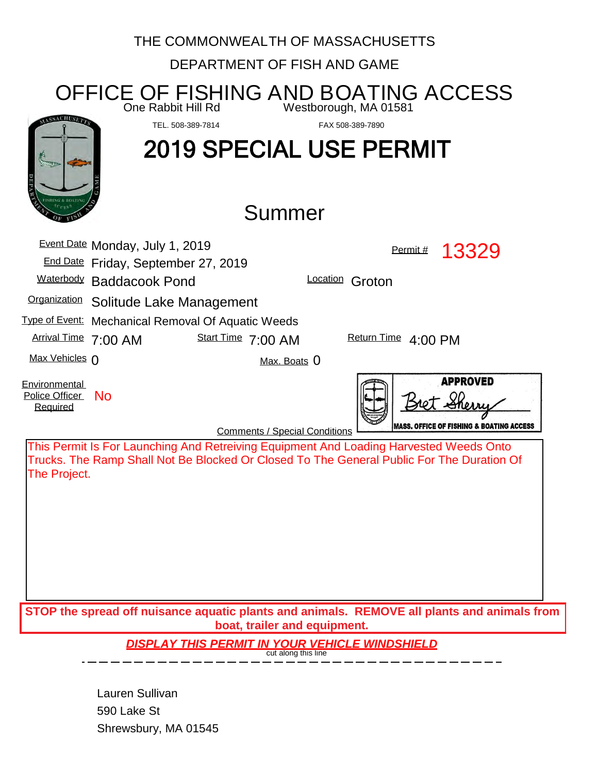|                                             | THE COMMONWEALTH OF MASSACHUSETTS                                                                  |                                                                                                                                                                                     |  |  |  |
|---------------------------------------------|----------------------------------------------------------------------------------------------------|-------------------------------------------------------------------------------------------------------------------------------------------------------------------------------------|--|--|--|
| DEPARTMENT OF FISH AND GAME                 |                                                                                                    |                                                                                                                                                                                     |  |  |  |
|                                             | One Rabbit Hill Rd                                                                                 | OFFICE OF FISHING AND BOATING ACCESS<br>Westborough, MA 01581                                                                                                                       |  |  |  |
|                                             | TEL. 508-389-7814<br><b>2019 SPECIAL USE PERMIT</b>                                                | FAX 508-389-7890                                                                                                                                                                    |  |  |  |
|                                             | Summer                                                                                             |                                                                                                                                                                                     |  |  |  |
|                                             | Event Date Monday, July 1, 2019<br>End Date Friday, September 27, 2019<br>Waterbody Baddacook Pond | 13329<br>Permit #<br>Location Groton                                                                                                                                                |  |  |  |
|                                             | Organization Solitude Lake Management                                                              |                                                                                                                                                                                     |  |  |  |
|                                             | <b>Type of Event:</b> Mechanical Removal Of Aquatic Weeds                                          |                                                                                                                                                                                     |  |  |  |
| Arrival Time 7:00 AM                        | Start Time 7:00 AM                                                                                 | Return Time 4:00 PM                                                                                                                                                                 |  |  |  |
| Max Vehicles 0                              | Max. Boats 0                                                                                       |                                                                                                                                                                                     |  |  |  |
| Environmental<br>Police Officer<br>Required | <b>No</b><br><b>Comments / Special Conditions</b>                                                  | <b>APPROVED</b><br><b>MASS. OFFICE OF FISHING &amp; BOATING ACCESS</b>                                                                                                              |  |  |  |
| The Project.                                |                                                                                                    | This Permit Is For Launching And Retreiving Equipment And Loading Harvested Weeds Onto<br>Trucks. The Ramp Shall Not Be Blocked Or Closed To The General Public For The Duration Of |  |  |  |
|                                             | boat, trailer and equipment.                                                                       | STOP the spread off nuisance aquatic plants and animals. REMOVE all plants and animals from                                                                                         |  |  |  |
|                                             | <b>DISPLAY THIS PERMIT IN YOUR VEHICLE WINDSHIELD</b>                                              |                                                                                                                                                                                     |  |  |  |
|                                             | Lauren Sullivan                                                                                    |                                                                                                                                                                                     |  |  |  |

Shrewsbury, MA 01545 590 Lake St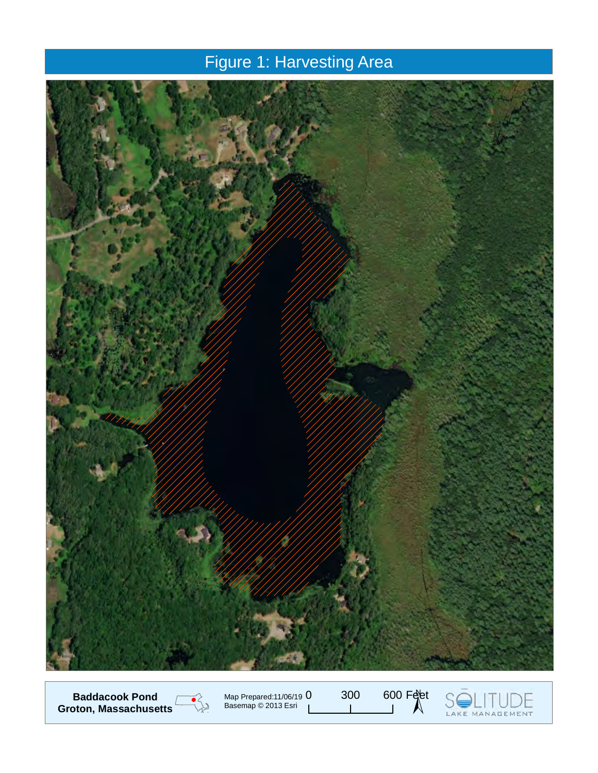### Figure 1: Harvesting Area



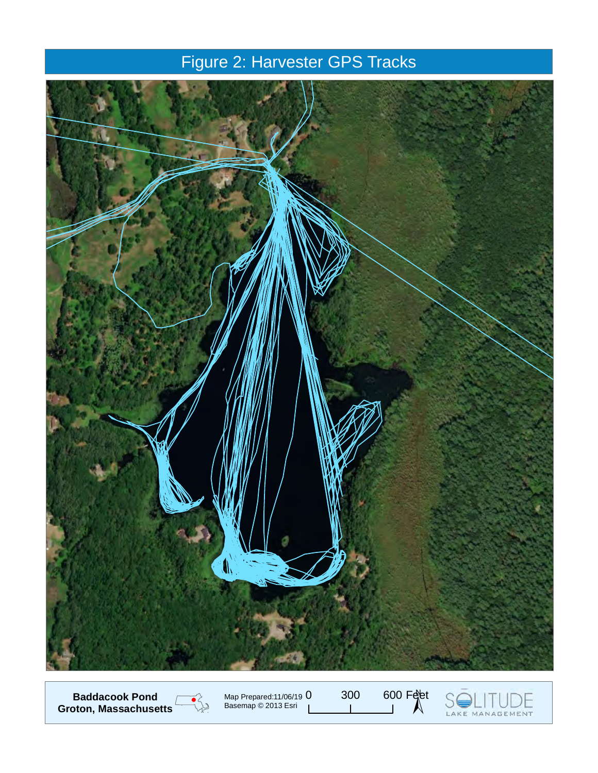## Figure 2: Harvester GPS Tracks



300 600 Feet **Baddacook Pond**  $\overline{\bullet}$ Map Prepared:11/06/19 **Groton, Massachusetts** Basemap © 2013 Esri LAKE MANAGEMENT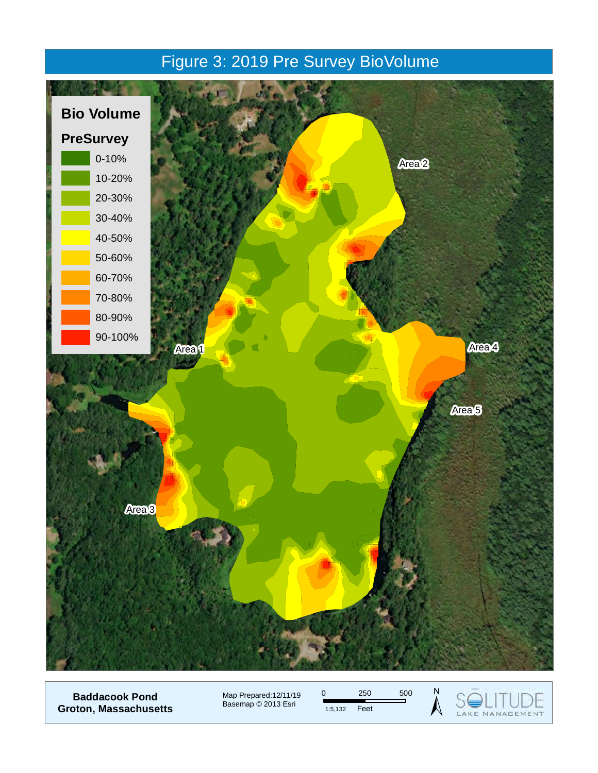### Figure 3: 2019 Pre Survey BioVolume



**Baddacook Pond Groton, Massachusetts** Map Prepared:12/11/19 Basemap © 2013 Esri



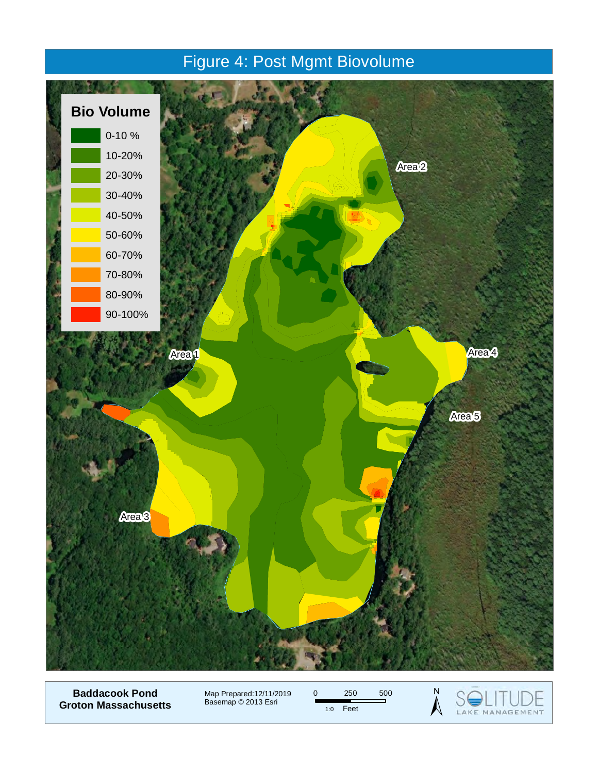### Figure 4: Post Mgmt Biovolume



**Baddacook Pond Groton Massachusetts**

Map Prepared:12/11/2019 Basemap © 2013 Esri